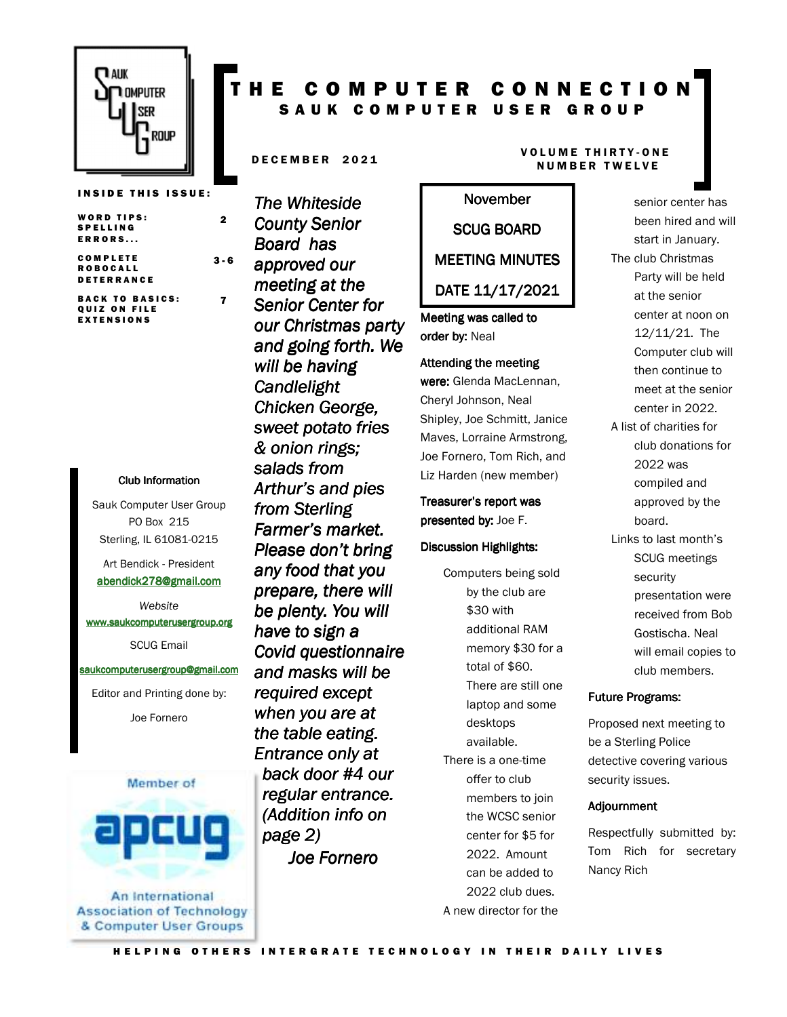

**INSIDE THIS ISSUE:** 

2

 $3 - 6$ 

7

**BACK TO BASICS:** QUIZ ON FILE **EXTENSIONS** 

#### Club Information Club Information

Sauk Computer User Group PO Box 215 Sterling, IL 61081-0215

Art Bendick - President abendick278@gmail.com

*Website*  www.saukcomputerusergroup.org SCUG Email

### saukcomputerusergroup@gmail.com

Editor and Printing done by: Joe Fornero



An International **Association of Technology** & Computer User Groups

## T H E C O M P U T E R C O N N E C T I O N SAUK COMPUTER USER GROUP

*The Whiteside County Senior Board has approved our meeting at the Senior Center for our Christmas party and going forth. We will be having Candlelight Chicken George, sweet potato fries & onion rings; salads from Arthur's and pies from Sterling Farmer's market. Please don't bring any food that you prepare, there will be plenty. You will have to sign a Covid questionnaire and masks will be required except when you are at the table eating. Entrance only at back door #4 our regular entrance. (Addition info on page 2) Joe Fornero* 

### D E CEMBER 2021 VOLUME THIRTY-ONE N U M B E R T W E L V E

### SCUG BOARD

November

### MEETING MINUTES

DATE 11/17/2021

Meeting was called to order by: Neal

#### Attending the meeting

were: Glenda MacLennan, Cheryl Johnson, Neal Shipley, Joe Schmitt, Janice Maves, Lorraine Armstrong, Joe Fornero, Tom Rich, and Liz Harden (new member)

Treasurer's report was presented by: Joe F.

#### Discussion Highlights:

Computers being sold by the club are \$30 with additional RAM memory \$30 for a total of \$60. There are still one laptop and some desktops available. There is a one-time offer to club members to join the WCSC senior center for \$5 for 2022. Amount can be added to 2022 club dues. A new director for the

senior center has been hired and will start in January. The club Christmas Party will be held at the senior center at noon on 12/11/21. The Computer club will then continue to meet at the senior center in 2022. A list of charities for club donations for 2022 was compiled and approved by the board. Links to last month's

SCUG meetings security presentation were received from Bob Gostischa. Neal will email copies to club members.

#### **Future Programs:**

Proposed next meeting to be a Sterling Police detective covering various security issues.

#### Adjournment

Respectfully submitted by: Tom Rich for secretary Nancy Rich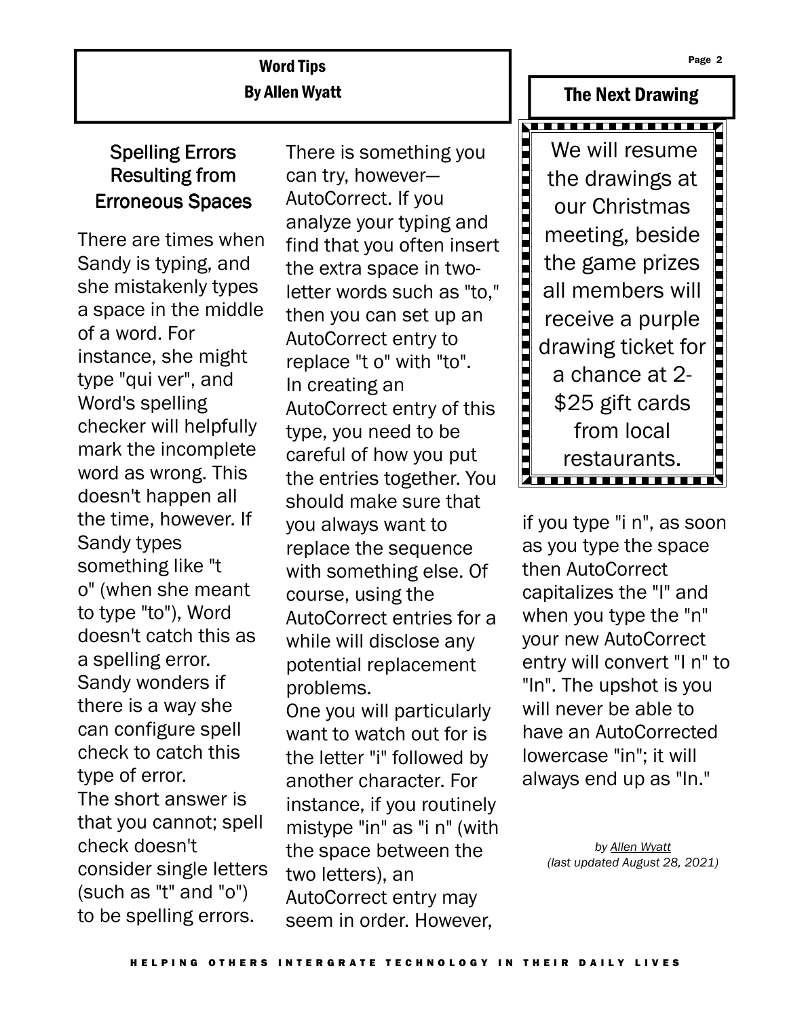## Word Tips By Allen Wyatt

# Spelling Errors Resulting from Erroneous Spaces

There are times when Sandy is typing, and she mistakenly types a space in the middle of a word. For instance, she might type "qui ver", and Word's spelling checker will helpfully mark the incomplete word as wrong. This doesn't happen all the time, however. If Sandy types something like "t o" (when she meant to type "to"), Word doesn't catch this as a spelling error. Sandy wonders if there is a way she can configure spell check to catch this type of error. The short answer is that you cannot; spell check doesn't consider single letters (such as "t" and "o") to be spelling errors.

There is something you can try, however— AutoCorrect. If you analyze your typing and find that you often insert the extra space in twoletter words such as "to," then you can set up an AutoCorrect entry to replace "t o" with "to". In creating an AutoCorrect entry of this type, you need to be careful of how you put the entries together. You should make sure that you always want to replace the sequence with something else. Of course, using the AutoCorrect entries for a while will disclose any potential replacement problems. One you will particularly want to watch out for is the letter "i" followed by another character. For instance, if you routinely

mistype "in" as "i n" (with the space between the two letters), an AutoCorrect entry may seem in order. However,



The Next Drawing

if you type "i n", as soon as you type the space then AutoCorrect capitalizes the "I" and when you type the "n" your new AutoCorrect entry will convert "I n" to "In". The upshot is you will never be able to have an AutoCorrected lowercase "in"; it will always end up as "In."

> *by Allen Wyatt (last updated August 28, 2021)*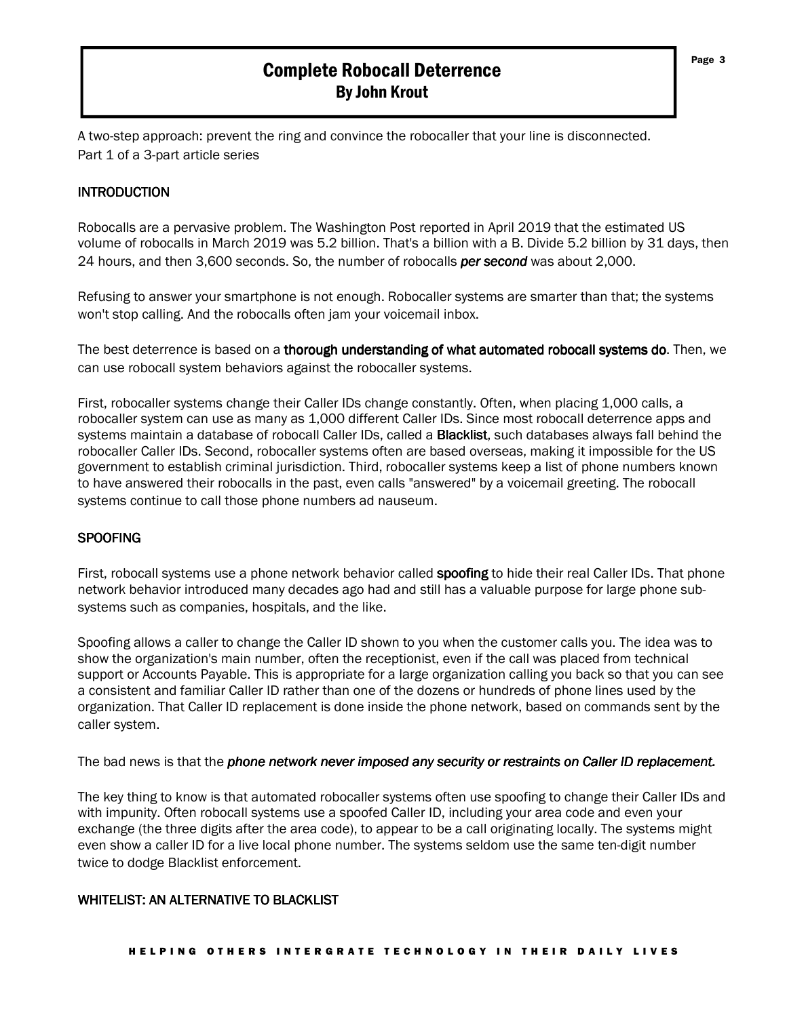### Complete Robocall Deterrence By John Krout

A two-step approach: prevent the ring and convince the robocaller that your line is disconnected. Part 1 of a 3-part article series

### **INTRODUCTION**

Robocalls are a pervasive problem. The Washington Post reported in April 2019 that the estimated US volume of robocalls in March 2019 was 5.2 billion. That's a billion with a B. Divide 5.2 billion by 31 days, then 24 hours, and then 3,600 seconds. So, the number of robocalls *per second* was about 2,000.

Refusing to answer your smartphone is not enough. Robocaller systems are smarter than that; the systems won't stop calling. And the robocalls often jam your voicemail inbox.

The best deterrence is based on a thorough understanding of what automated robocall systems do. Then, we can use robocall system behaviors against the robocaller systems.

First, robocaller systems change their Caller IDs change constantly. Often, when placing 1,000 calls, a robocaller system can use as many as 1,000 different Caller IDs. Since most robocall deterrence apps and systems maintain a database of robocall Caller IDs, called a Blacklist, such databases always fall behind the robocaller Caller IDs. Second, robocaller systems often are based overseas, making it impossible for the US government to establish criminal jurisdiction. Third, robocaller systems keep a list of phone numbers known to have answered their robocalls in the past, even calls "answered" by a voicemail greeting. The robocall systems continue to call those phone numbers ad nauseum.

### **SPOOFING**

First, robocall systems use a phone network behavior called **spoofing** to hide their real Caller IDs. That phone network behavior introduced many decades ago had and still has a valuable purpose for large phone subsystems such as companies, hospitals, and the like.

Spoofing allows a caller to change the Caller ID shown to you when the customer calls you. The idea was to show the organization's main number, often the receptionist, even if the call was placed from technical support or Accounts Payable. This is appropriate for a large organization calling you back so that you can see a consistent and familiar Caller ID rather than one of the dozens or hundreds of phone lines used by the organization. That Caller ID replacement is done inside the phone network, based on commands sent by the caller system.

The bad news is that the *phone network never imposed any security or restraints on Caller ID replacement.*

The key thing to know is that automated robocaller systems often use spoofing to change their Caller IDs and with impunity. Often robocall systems use a spoofed Caller ID, including your area code and even your exchange (the three digits after the area code), to appear to be a call originating locally. The systems might even show a caller ID for a live local phone number. The systems seldom use the same ten-digit number twice to dodge Blacklist enforcement.

### WHITELIST: AN ALTERNATIVE TO BLACKLIST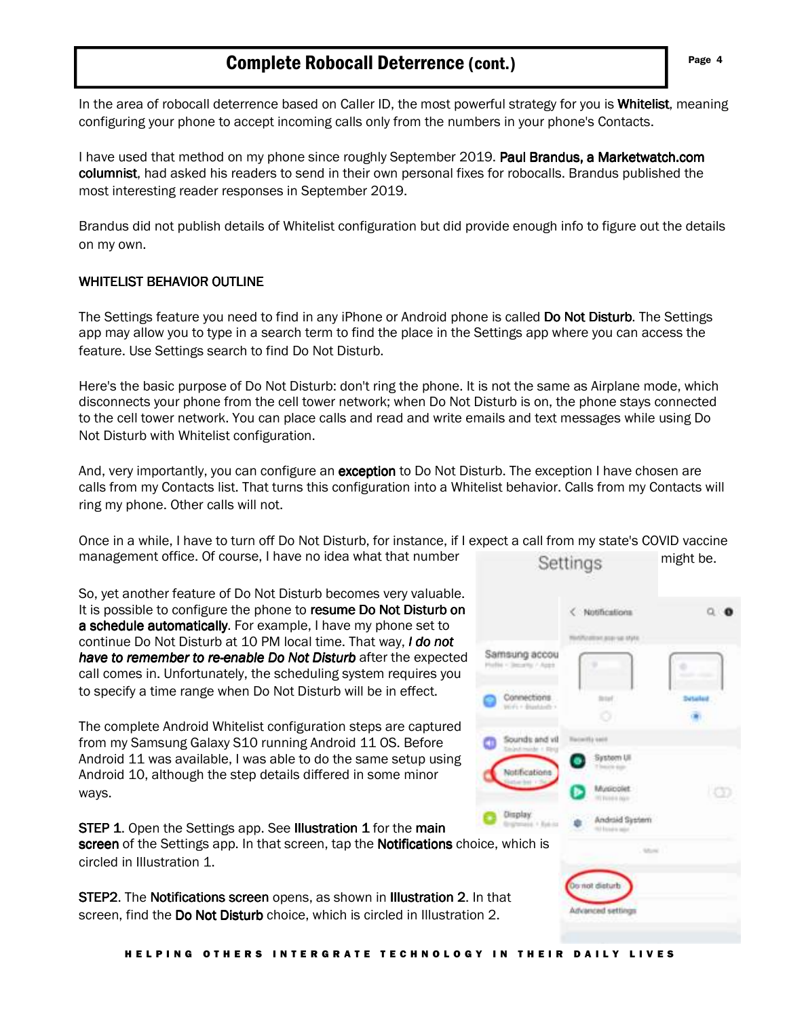### **Complete Robocall Deterrence (cont.)** Page 4

In the area of robocall deterrence based on Caller ID, the most powerful strategy for you is Whitelist, meaning configuring your phone to accept incoming calls only from the numbers in your phone's Contacts.

I have used that method on my phone since roughly September 2019. Paul Brandus, a Marketwatch.com columnist, had asked his readers to send in their own personal fixes for robocalls. Brandus published the most interesting reader responses in September 2019.

Brandus did not publish details of Whitelist configuration but did provide enough info to figure out the details on my own.

### WHITELIST BEHAVIOR OUTLINE

The Settings feature you need to find in any iPhone or Android phone is called Do Not Disturb. The Settings app may allow you to type in a search term to find the place in the Settings app where you can access the feature. Use Settings search to find Do Not Disturb.

Here's the basic purpose of Do Not Disturb: don't ring the phone. It is not the same as Airplane mode, which disconnects your phone from the cell tower network; when Do Not Disturb is on, the phone stays connected to the cell tower network. You can place calls and read and write emails and text messages while using Do Not Disturb with Whitelist configuration.

And, very importantly, you can configure an **exception** to Do Not Disturb. The exception I have chosen are calls from my Contacts list. That turns this configuration into a Whitelist behavior. Calls from my Contacts will ring my phone. Other calls will not.

Once in a while, I have to turn off Do Not Disturb, for instance, if I expect a call from my state's COVID vaccine management office. Of course, I have no idea what that number Settings might be.

So, yet another feature of Do Not Disturb becomes very valuable. It is possible to configure the phone to resume Do Not Disturb on a schedule automatically. For example, I have my phone set to continue Do Not Disturb at 10 PM local time. That way, *I do not have to remember to re-enable Do Not Disturb* after the expected call comes in. Unfortunately, the scheduling system requires you to specify a time range when Do Not Disturb will be in effect.

The complete Android Whitelist configuration steps are captured from my Samsung Galaxy S10 running Android 11 OS. Before Android 11 was available, I was able to do the same setup using Android 10, although the step details differed in some minor ways.

**STEP 1.** Open the Settings app. See Illustration 1 for the main screen of the Settings app. In that screen, tap the **Notifications** choice, which is circled in Illustration 1.

STEP2. The Notifications screen opens, as shown in Illustration 2. In that screen, find the Do Not Disturb choice, which is circled in Illustration 2.

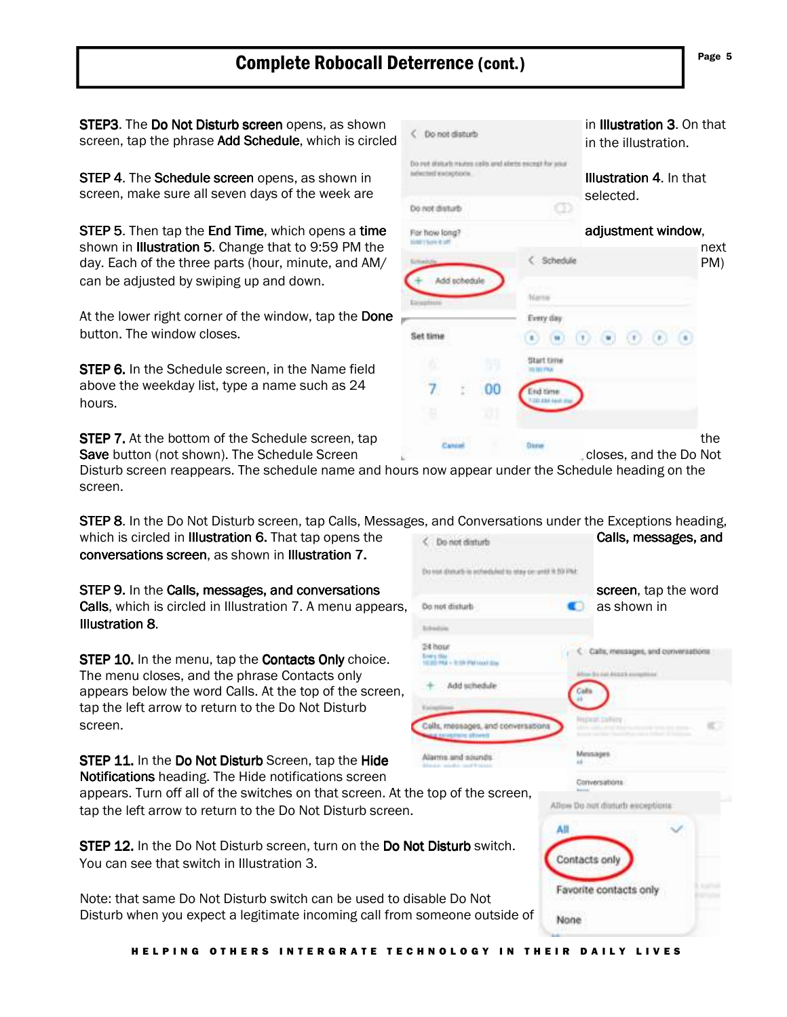# Complete Robocall Deterrence (cont.) **Example 1** Page 5

screen, tap the phrase Add Schedule, which is circled in the illustration.

STEP 5. Then tap the End Time, which opens a time For how long? The adjustment window, can be adjusted by swiping up and down.

At the lower right corner of the window, tap the Done button. The window closes.

STEP 6. In the Schedule screen, in the Name field above the weekday list, type a name such as 24 hours.

Disturb screen reappears. The schedule name and hours now appear under the Schedule heading on the screen.

STEP 8. In the Do Not Disturb screen, tap Calls, Messages, and Conversations under the Exceptions heading, which is circled in Illustration 6. That tap opens the  $\epsilon$  benefitative calls, messages, and conversations screen, as shown in Illustration 7.

> **Britainia** 34 hour

Do not statuts is echeduled to stay on until it 53 PM.

STEP 9. In the Calls, messages, and conversations messages, and conversations messages, conversations screen, tap the word Calls, which is circled in Illustration 7. A menu appears, Domot disturbed and Calls as shown in Illustration 8. Illustration 8

STEP 10. In the menu, tap the Contacts Only choice. The menu closes, and the phrase Contacts only appears below the word Calls. At the top of the screen, tap the left arrow to return to the Do Not Disturb screen.

Alarms and sounds STEP 11. In the Do Not Disturb Screen, tap the Hide Notifications heading. The Hide notifications screen appears. Turn off all of the switches on that screen. At the top of the screen, tap the left arrow to return to the Do Not Disturb screen.

STEP 12. In the Do Not Disturb screen, turn on the Do Not Disturb switch. You can see that switch in Illustration 3.

Note: that same Do Not Disturb switch can be used to disable Do Not Disturb when you expect a legitimate incoming call from someone outside of



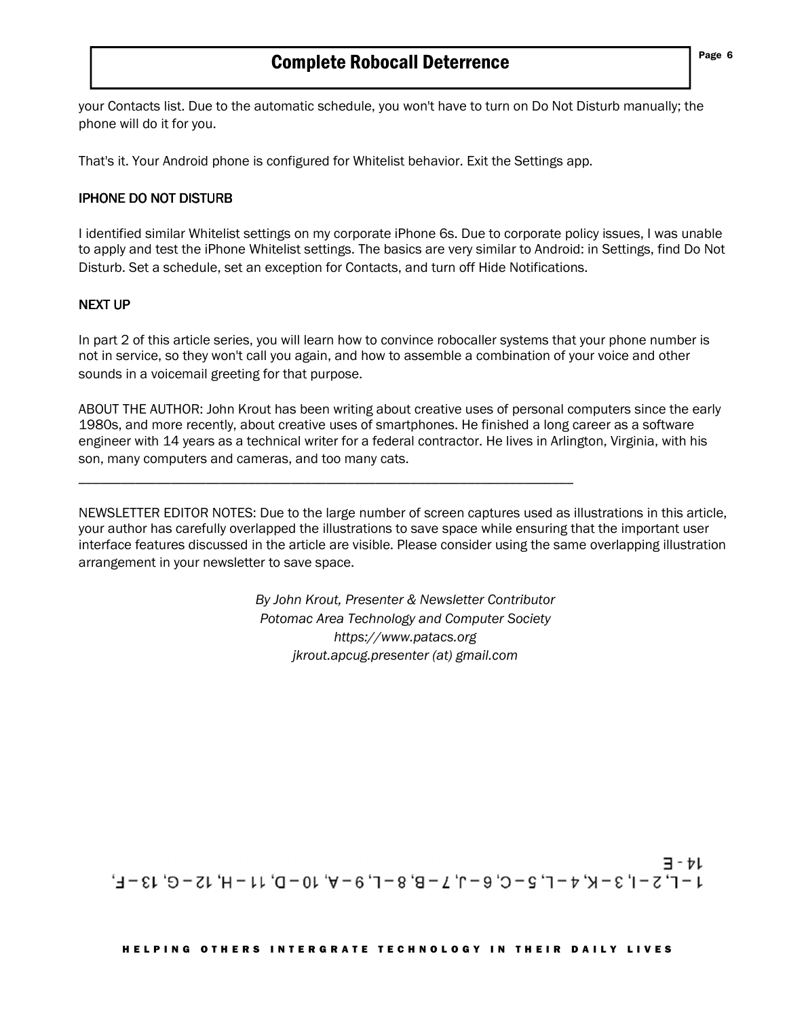your Contacts list. Due to the automatic schedule, you won't have to turn on Do Not Disturb manually; the phone will do it for you.

That's it. Your Android phone is configured for Whitelist behavior. Exit the Settings app.

\_\_\_\_\_\_\_\_\_\_\_\_\_\_\_\_\_\_\_\_\_\_\_\_\_\_\_\_\_\_\_\_\_\_\_\_\_\_\_\_\_\_\_\_\_\_\_\_\_\_\_\_\_\_\_\_\_\_\_\_\_\_\_\_\_\_\_\_\_\_

### **IPHONE DO NOT DISTURB**

I identified similar Whitelist settings on my corporate iPhone 6s. Due to corporate policy issues, I was unable to apply and test the iPhone Whitelist settings. The basics are very similar to Android: in Settings, find Do Not Disturb. Set a schedule, set an exception for Contacts, and turn off Hide Notifications.

### **NEXT UP**

In part 2 of this article series, you will learn how to convince robocaller systems that your phone number is not in service, so they won't call you again, and how to assemble a combination of your voice and other sounds in a voicemail greeting for that purpose.

ABOUT THE AUTHOR: John Krout has been writing about creative uses of personal computers since the early 1980s, and more recently, about creative uses of smartphones. He finished a long career as a software engineer with 14 years as a technical writer for a federal contractor. He lives in Arlington, Virginia, with his son, many computers and cameras, and too many cats.

NEWSLETTER EDITOR NOTES: Due to the large number of screen captures used as illustrations in this article, your author has carefully overlapped the illustrations to save space while ensuring that the important user interface features discussed in the article are visible. Please consider using the same overlapping illustration arrangement in your newsletter to save space.

> *By John Krout, Presenter & Newsletter Contributor Potomac Area Technology and Computer Society https://www.patacs.org jkrout.apcug.presenter (at) gmail.com*

ヨーャレ  $1 - \Gamma'$   $5 - \Gamma'$   $3 - \Gamma'$   $4 - \Gamma'$   $2 - \Gamma'$   $9 - \Gamma'$   $1 - \Gamma'$   $3 - \Gamma'$   $10 - \Gamma'$   $11 - \Gamma'$   $15 - \Gamma'$   $13 - \Gamma'$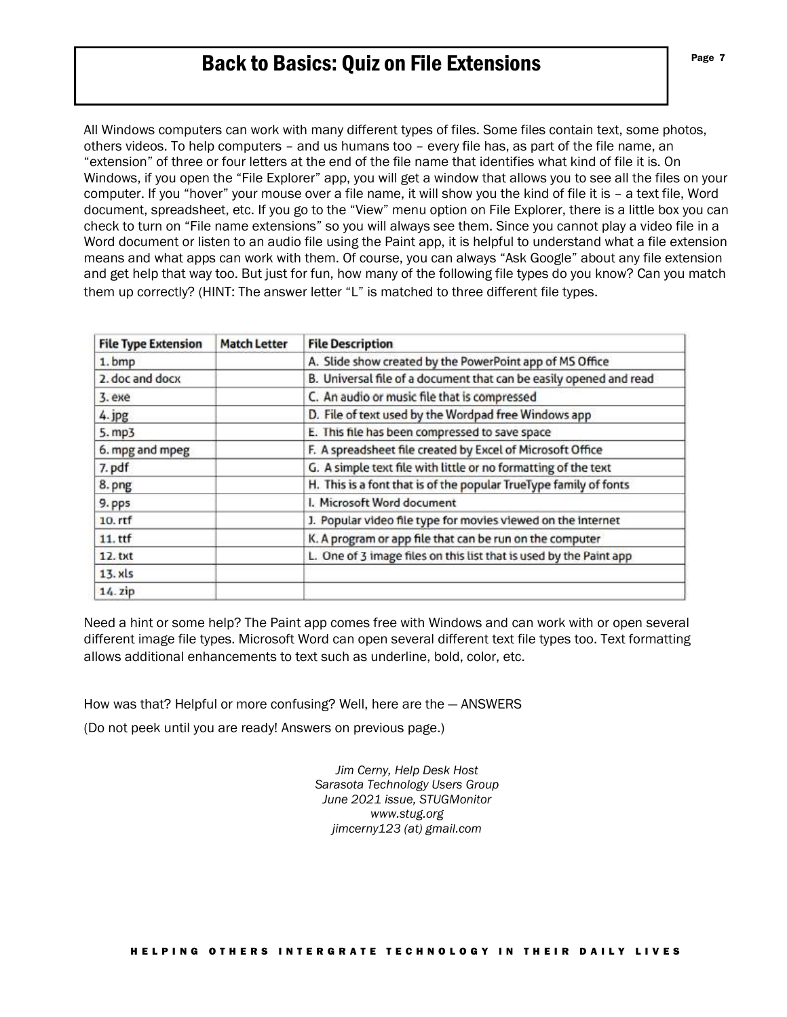# Back to Basics: Quiz on File Extensions

All Windows computers can work with many different types of files. Some files contain text, some photos, others videos. To help computers – and us humans too – every file has, as part of the file name, an "extension" of three or four letters at the end of the file name that identifies what kind of file it is. On Windows, if you open the "File Explorer" app, you will get a window that allows you to see all the files on your computer. If you "hover" your mouse over a file name, it will show you the kind of file it is – a text file, Word document, spreadsheet, etc. If you go to the "View" menu option on File Explorer, there is a little box you can check to turn on "File name extensions" so you will always see them. Since you cannot play a video file in a Word document or listen to an audio file using the Paint app, it is helpful to understand what a file extension means and what apps can work with them. Of course, you can always "Ask Google" about any file extension and get help that way too. But just for fun, how many of the following file types do you know? Can you match them up correctly? (HINT: The answer letter "L" is matched to three different file types.

| <b>File Type Extension</b> | <b>Match Letter</b> | <b>File Description</b>                                            |
|----------------------------|---------------------|--------------------------------------------------------------------|
| 1.bmp                      |                     | A. Slide show created by the PowerPoint app of MS Office           |
| 2. doc and docx            |                     | B. Universal file of a document that can be easily opened and read |
| 3. exe                     |                     | C. An audio or music file that is compressed                       |
| 4. jpg                     |                     | D. File of text used by the Wordpad free Windows app               |
| 5. mp3                     |                     | E. This file has been compressed to save space                     |
| 6. mpg and mpeg            |                     | F. A spreadsheet file created by Excel of Microsoft Office         |
| 7. pdf                     |                     | G. A simple text file with little or no formatting of the text     |
| 8. png                     |                     | H. This is a font that is of the popular TrueType family of fonts  |
| 9. pps                     |                     | I. Microsoft Word document                                         |
| $10. r$ rf                 |                     | J. Popular video file type for movies viewed on the internet       |
| $11.$ ttf                  |                     | K. A program or app file that can be run on the computer           |
| 12. txt                    |                     | L. One of 3 image files on this list that is used by the Paint app |
| 13. xls                    |                     |                                                                    |
| $14.$ zip                  |                     |                                                                    |

Need a hint or some help? The Paint app comes free with Windows and can work with or open several different image file types. Microsoft Word can open several different text file types too. Text formatting allows additional enhancements to text such as underline, bold, color, etc.

How was that? Helpful or more confusing? Well, here are the — ANSWERS

(Do not peek until you are ready! Answers on previous page.)

*Jim Cerny, Help Desk Host Sarasota Technology Users Group June 2021 issue, STUGMonitor www.stug.org jimcerny123 (at) gmail.com*